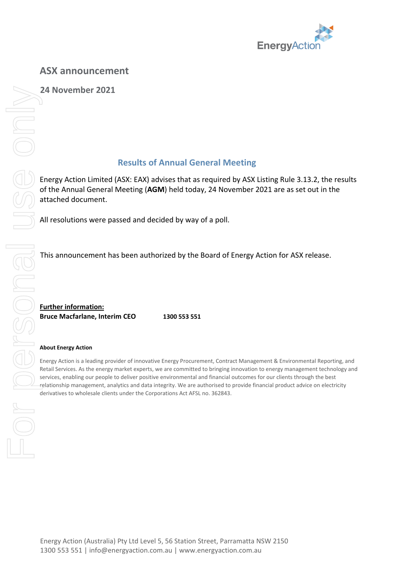

**24 November 2021**

## **Results of Annual General Meeting**

Energy Action Limited (ASX: EAX) advises that as required by ASX Listing Rule 3.13.2, the results of the Annual General Meeting (**AGM**) held today, 24 November 2021 are as set out in the attached document.

All resolutions were passed and decided by way of a poll.

This announcement has been authorized by the Board of Energy Action for ASX release.

**Further information: Bruce Macfarlane, Interim CEO 1300 553 551**

## **About Energy Action**

Energy Action is a leading provider of innovative Energy Procurement, Contract Management & Environmental Reporting, and Retail Services. As the energy market experts, we are committed to bringing innovation to energy management technology and services, enabling our people to deliver positive environmental and financial outcomes for our clients through the best relationship management, analytics and data integrity. We are authorised to provide financial product advice on electricity